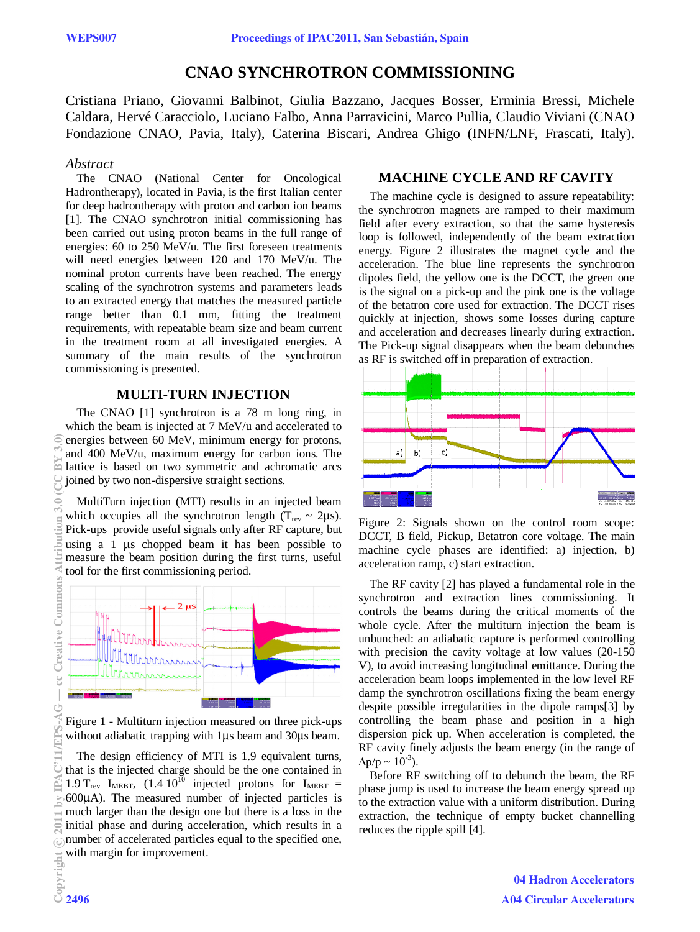# **CNAO SYNCHROTRON COMMISSIONING**

Cristiana Priano, Giovanni Balbinot, Giulia Bazzano, Jacques Bosser, Erminia Bressi, Michele Caldara, Hervé Caracciolo, Luciano Falbo, Anna Parravicini, Marco Pullia, Claudio Viviani (CNAO Fondazione CNAO, Pavia, Italy), Caterina Biscari, Andrea Ghigo (INFN/LNF, Frascati, Italy).

### *Abstract*

The CNAO (National Center for Oncological Hadrontherapy), located in Pavia, is the first Italian center for deep hadrontherapy with proton and carbon ion beams [1]. The CNAO synchrotron initial commissioning has been carried out using proton beams in the full range of energies: 60 to 250 MeV/u. The first foreseen treatments will need energies between 120 and 170 MeV/u. The nominal proton currents have been reached. The energy scaling of the synchrotron systems and parameters leads to an extracted energy that matches the measured particle range better than 0.1 mm, fitting the treatment requirements, with repeatable beam size and beam current in the treatment room at all investigated energies. A summary of the main results of the synchrotron commissioning is presented.

## **MULTI-TURN INJECTION**

The CNAO [1] synchrotron is a 78 m long ring, in which the beam is injected at 7 MeV/u and accelerated to energies between 60 MeV, minimum energy for protons, and 400 MeV/u, maximum energy for carbon ions. The lattice is based on two symmetric and achromatic arcs joined by two non-dispersive straight sections.

MultiTurn injection (MTI) results in an injected beam which occupies all the synchrotron length ( $T_{rev} \sim 2\mu s$ ). Pick-ups provide useful signals only after RF capture, but using a 1 μs chopped beam it has been possible to measure the beam position during the first turns, useful tool for the first commissioning period.



Figure 1 - Multiturn injection measured on three pick-ups without adiabatic trapping with 1μs beam and 30μs beam.

The design efficiency of MTI is 1.9 equivalent turns, that is the injected charge should be the one contained in 1.9 T<sub>rev</sub> I<sub>MEBT</sub>,  $(1.4 \ 10^{10} \text{ injected protons for } I_{\text{MEBT}} =$ 600μA). The measured number of injected particles is much larger than the design one but there is a loss in the initial phase and during acceleration, which results in a number of accelerated particles equal to the specified one, with margin for improvement.

## **MACHINE CYCLE AND RF CAVITY**

The machine cycle is designed to assure repeatability: the synchrotron magnets are ramped to their maximum field after every extraction, so that the same hysteresis loop is followed, independently of the beam extraction energy. Figure 2 illustrates the magnet cycle and the acceleration. The blue line represents the synchrotron dipoles field, the yellow one is the DCCT, the green one is the signal on a pick-up and the pink one is the voltage of the betatron core used for extraction. The DCCT rises quickly at injection, shows some losses during capture and acceleration and decreases linearly during extraction. The Pick-up signal disappears when the beam debunches as RF is switched off in preparation of extraction.



Figure 2: Signals shown on the control room scope: DCCT, B field, Pickup, Betatron core voltage. The main machine cycle phases are identified: a) injection, b) acceleration ramp, c) start extraction.

The RF cavity [2] has played a fundamental role in the synchrotron and extraction lines commissioning. It controls the beams during the critical moments of the whole cycle. After the multiturn injection the beam is unbunched: an adiabatic capture is performed controlling with precision the cavity voltage at low values (20-150 V), to avoid increasing longitudinal emittance. During the acceleration beam loops implemented in the low level RF damp the synchrotron oscillations fixing the beam energy despite possible irregularities in the dipole ramps[3] by controlling the beam phase and position in a high dispersion pick up. When acceleration is completed, the RF cavity finely adjusts the beam energy (in the range of  $\Delta p/p \sim 10^{-3}$ ).

Before RF switching off to debunch the beam, the RF phase jump is used to increase the beam energy spread up to the extraction value with a uniform distribution. During extraction, the technique of empty bucket channelling reduces the ripple spill [4].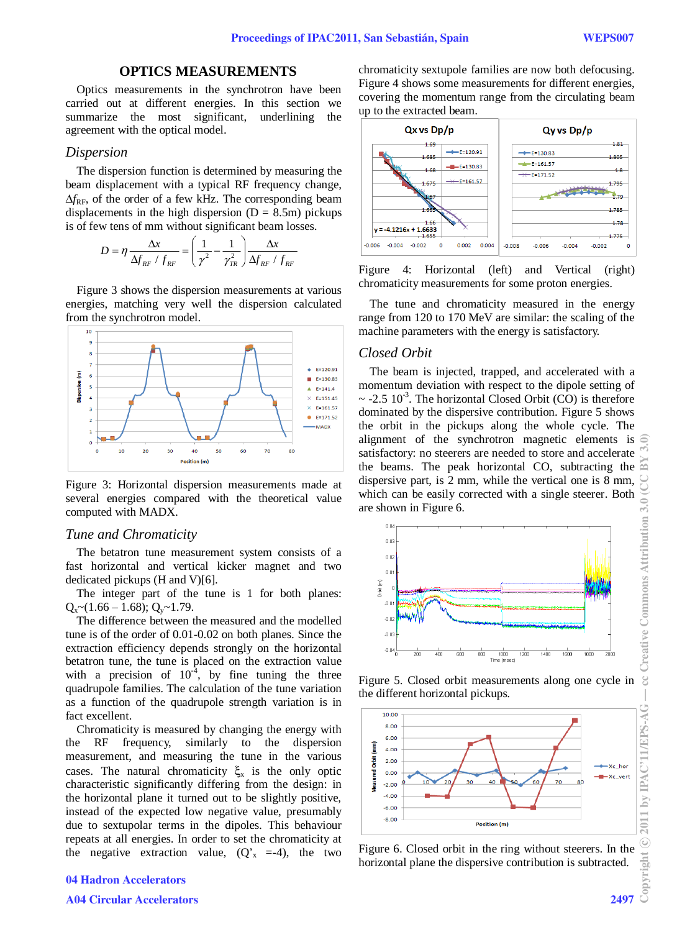## **OPTICS MEASUREMENTS**

Optics measurements in the synchrotron have been carried out at different energies. In this section we summarize the most significant, underlining the agreement with the optical model.

#### *Dispersion*

The dispersion function is determined by measuring the beam displacement with a typical RF frequency change,  $\Delta f_{\rm RF}$ , of the order of a few kHz. The corresponding beam displacements in the high dispersion  $(D = 8.5m)$  pickups is of few tens of mm without significant beam losses.

$$
D = \eta \frac{\Delta x}{\Delta f_{RF} / f_{RF}} = \left(\frac{1}{\gamma^2} - \frac{1}{\gamma_{TR}^2}\right) \frac{\Delta x}{\Delta f_{RF} / f_{RF}}
$$

Figure 3 shows the dispersion measurements at various energies, matching very well the dispersion calculated from the synchrotron model.



Figure 3: Horizontal dispersion measurements made at several energies compared with the theoretical value computed with MADX.

#### *Tune and Chromaticity*

The betatron tune measurement system consists of a fast horizontal and vertical kicker magnet and two dedicated pickups (H and V)[6].

The integer part of the tune is 1 for both planes:  $Q_x \sim (1.66 - 1.68); Q_y \sim 1.79.$ 

The difference between the measured and the modelled tune is of the order of 0.01-0.02 on both planes. Since the extraction efficiency depends strongly on the horizontal betatron tune, the tune is placed on the extraction value with a precision of  $10^{-4}$ , by fine tuning the three quadrupole families. The calculation of the tune variation as a function of the quadrupole strength variation is in fact excellent.

Chromaticity is measured by changing the energy with the RF frequency, similarly to the dispersion measurement, and measuring the tune in the various cases. The natural chromaticity  $\xi_{x}$  is the only optic characteristic significantly differing from the design: in the horizontal plane it turned out to be slightly positive, instead of the expected low negative value, presumably due to sextupolar terms in the dipoles. This behaviour repeats at all energies. In order to set the chromaticity at the negative extraction value,  $(Q_x^r = -4)$ , the two

chromaticity sextupole families are now both defocusing. Figure 4 shows some measurements for different energies, covering the momentum range from the circulating beam up to the extracted beam.



Figure 4: Horizontal (left) and Vertical (right) chromaticity measurements for some proton energies.

The tune and chromaticity measured in the energy range from 120 to 170 MeV are similar: the scaling of the machine parameters with the energy is satisfactory.

#### *Closed Orbit*

The beam is injected, trapped, and accelerated with a momentum deviation with respect to the dipole setting of  $\sim$  -2.5 10<sup>-3</sup>. The horizontal Closed Orbit (CO) is therefore dominated by the dispersive contribution. Figure 5 shows the orbit in the pickups along the whole cycle. The alignment of the synchrotron magnetic elements is satisfactory: no steerers are needed to store and accelerate the beams. The peak horizontal CO, subtracting the dispersive part, is 2 mm, while the vertical one is 8 mm, which can be easily corrected with a single steerer. Both are shown in Figure 6.



Figure 5. Closed orbit measurements along one cycle in the different horizontal pickups.